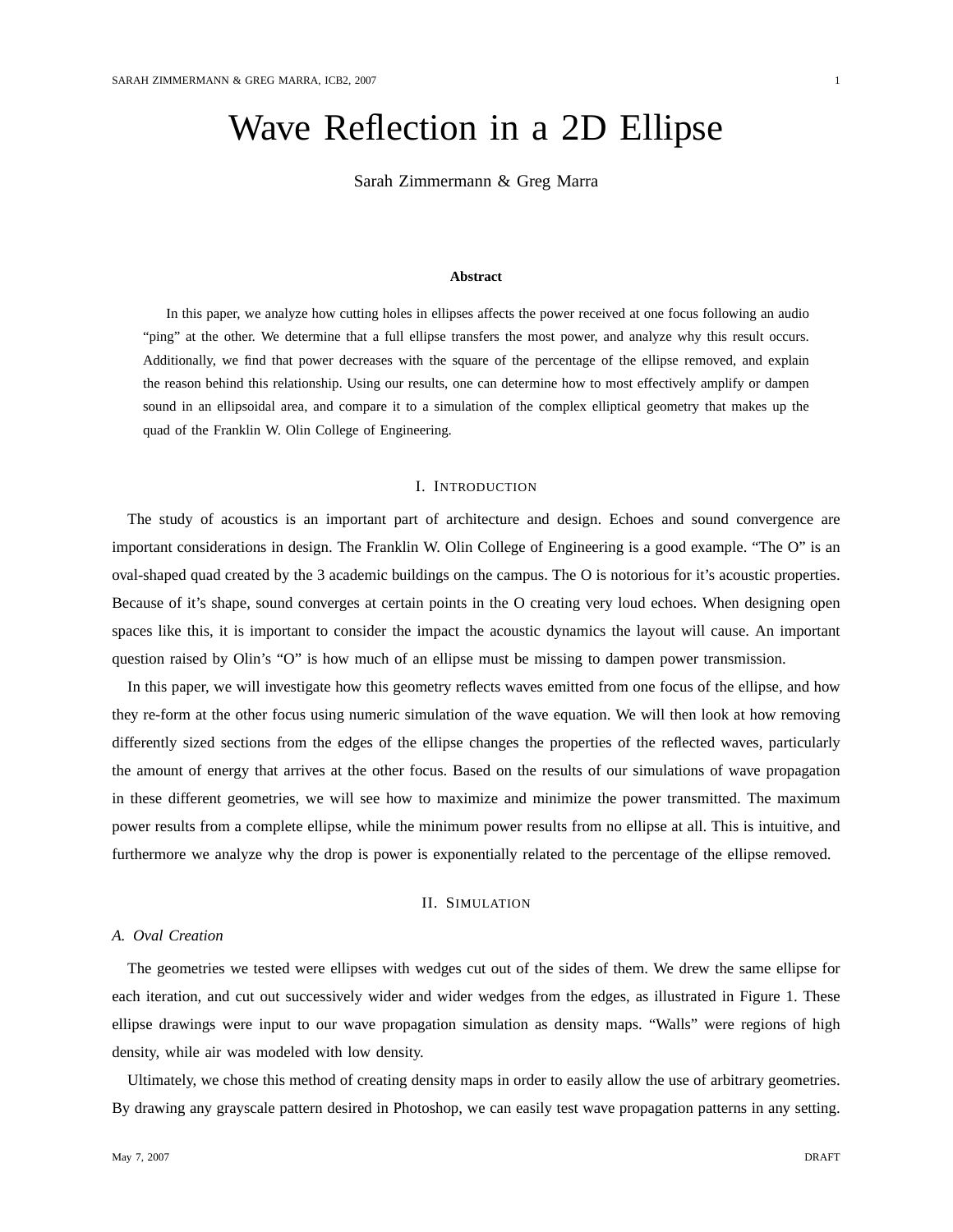# Wave Reflection in a 2D Ellipse

Sarah Zimmermann & Greg Marra

## **Abstract**

In this paper, we analyze how cutting holes in ellipses affects the power received at one focus following an audio "ping" at the other. We determine that a full ellipse transfers the most power, and analyze why this result occurs. Additionally, we find that power decreases with the square of the percentage of the ellipse removed, and explain the reason behind this relationship. Using our results, one can determine how to most effectively amplify or dampen sound in an ellipsoidal area, and compare it to a simulation of the complex elliptical geometry that makes up the quad of the Franklin W. Olin College of Engineering.

# I. INTRODUCTION

The study of acoustics is an important part of architecture and design. Echoes and sound convergence are important considerations in design. The Franklin W. Olin College of Engineering is a good example. "The O" is an oval-shaped quad created by the 3 academic buildings on the campus. The O is notorious for it's acoustic properties. Because of it's shape, sound converges at certain points in the O creating very loud echoes. When designing open spaces like this, it is important to consider the impact the acoustic dynamics the layout will cause. An important question raised by Olin's "O" is how much of an ellipse must be missing to dampen power transmission.

In this paper, we will investigate how this geometry reflects waves emitted from one focus of the ellipse, and how they re-form at the other focus using numeric simulation of the wave equation. We will then look at how removing differently sized sections from the edges of the ellipse changes the properties of the reflected waves, particularly the amount of energy that arrives at the other focus. Based on the results of our simulations of wave propagation in these different geometries, we will see how to maximize and minimize the power transmitted. The maximum power results from a complete ellipse, while the minimum power results from no ellipse at all. This is intuitive, and furthermore we analyze why the drop is power is exponentially related to the percentage of the ellipse removed.

## II. SIMULATION

## *A. Oval Creation*

The geometries we tested were ellipses with wedges cut out of the sides of them. We drew the same ellipse for each iteration, and cut out successively wider and wider wedges from the edges, as illustrated in Figure 1. These ellipse drawings were input to our wave propagation simulation as density maps. "Walls" were regions of high density, while air was modeled with low density.

Ultimately, we chose this method of creating density maps in order to easily allow the use of arbitrary geometries. By drawing any grayscale pattern desired in Photoshop, we can easily test wave propagation patterns in any setting.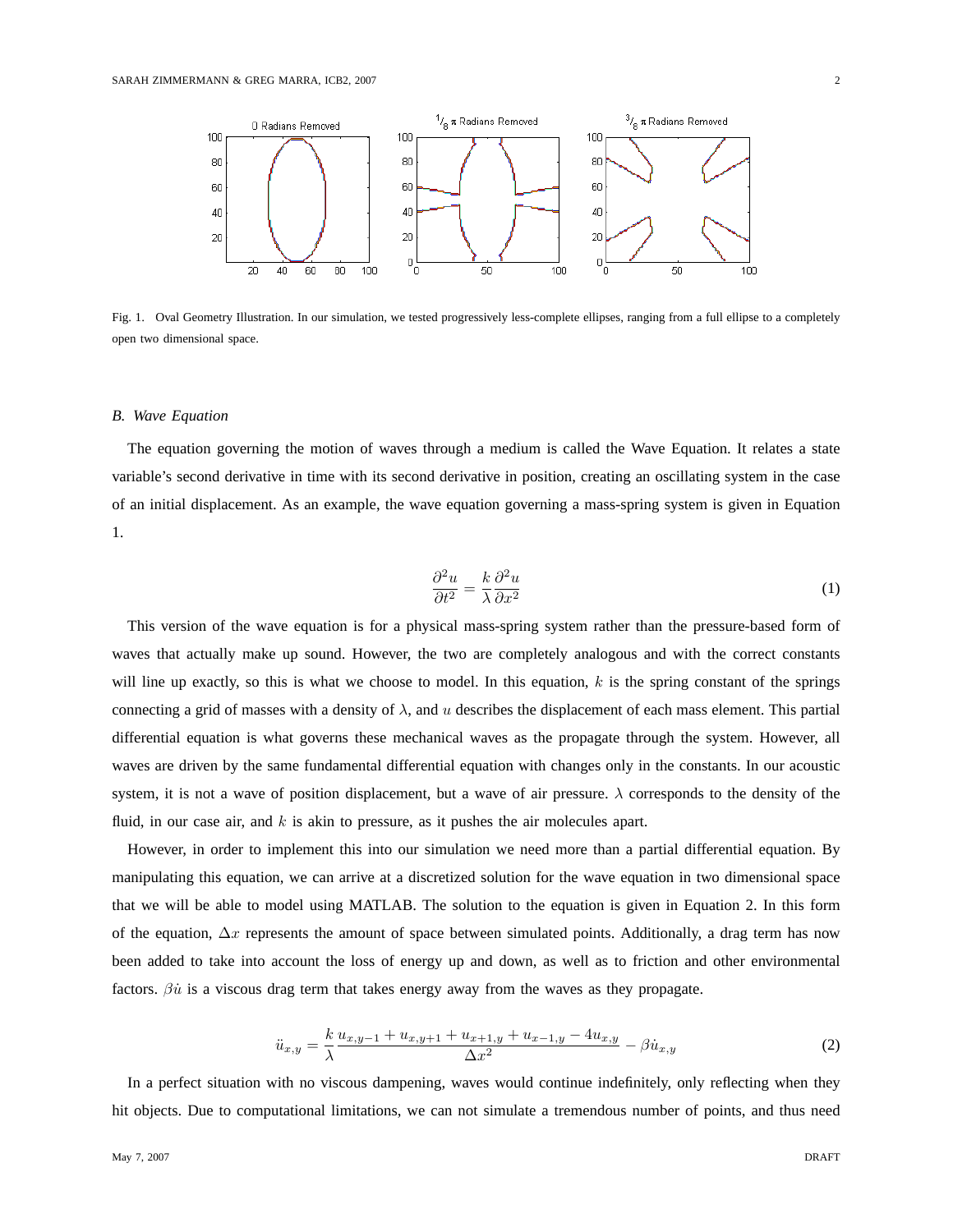

Fig. 1. Oval Geometry Illustration. In our simulation, we tested progressively less-complete ellipses, ranging from a full ellipse to a completely open two dimensional space.

#### *B. Wave Equation*

The equation governing the motion of waves through a medium is called the Wave Equation. It relates a state variable's second derivative in time with its second derivative in position, creating an oscillating system in the case of an initial displacement. As an example, the wave equation governing a mass-spring system is given in Equation 1.

$$
\frac{\partial^2 u}{\partial t^2} = \frac{k}{\lambda} \frac{\partial^2 u}{\partial x^2}
$$
 (1)

This version of the wave equation is for a physical mass-spring system rather than the pressure-based form of waves that actually make up sound. However, the two are completely analogous and with the correct constants will line up exactly, so this is what we choose to model. In this equation,  $k$  is the spring constant of the springs connecting a grid of masses with a density of  $\lambda$ , and u describes the displacement of each mass element. This partial differential equation is what governs these mechanical waves as the propagate through the system. However, all waves are driven by the same fundamental differential equation with changes only in the constants. In our acoustic system, it is not a wave of position displacement, but a wave of air pressure.  $\lambda$  corresponds to the density of the fluid, in our case air, and  $k$  is akin to pressure, as it pushes the air molecules apart.

However, in order to implement this into our simulation we need more than a partial differential equation. By manipulating this equation, we can arrive at a discretized solution for the wave equation in two dimensional space that we will be able to model using MATLAB. The solution to the equation is given in Equation 2. In this form of the equation,  $\Delta x$  represents the amount of space between simulated points. Additionally, a drag term has now been added to take into account the loss of energy up and down, as well as to friction and other environmental factors.  $\beta \dot{u}$  is a viscous drag term that takes energy away from the waves as they propagate.

$$
\ddot{u}_{x,y} = \frac{k}{\lambda} \frac{u_{x,y-1} + u_{x,y+1} + u_{x+1,y} + u_{x-1,y} - 4u_{x,y}}{\Delta x^2} - \beta \dot{u}_{x,y}
$$
\n(2)

In a perfect situation with no viscous dampening, waves would continue indefinitely, only reflecting when they hit objects. Due to computational limitations, we can not simulate a tremendous number of points, and thus need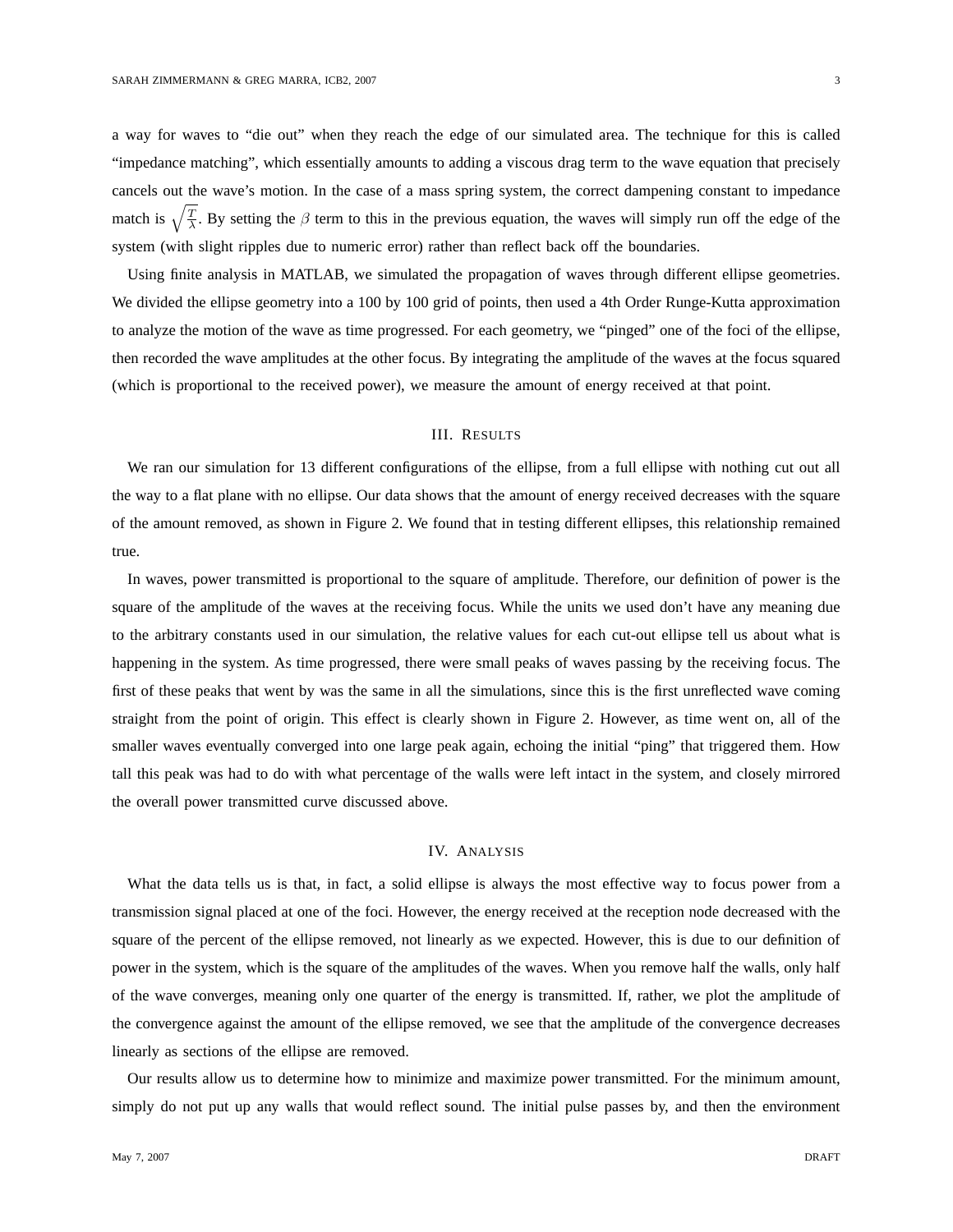a way for waves to "die out" when they reach the edge of our simulated area. The technique for this is called "impedance matching", which essentially amounts to adding a viscous drag term to the wave equation that precisely cancels out the wave's motion. In the case of a mass spring system, the correct dampening constant to impedance match is  $\sqrt{\frac{T}{\lambda}}$ . By setting the  $\beta$  term to this in the previous equation, the waves will simply run off the edge of the system (with slight ripples due to numeric error) rather than reflect back off the boundaries.

Using finite analysis in MATLAB, we simulated the propagation of waves through different ellipse geometries. We divided the ellipse geometry into a 100 by 100 grid of points, then used a 4th Order Runge-Kutta approximation to analyze the motion of the wave as time progressed. For each geometry, we "pinged" one of the foci of the ellipse, then recorded the wave amplitudes at the other focus. By integrating the amplitude of the waves at the focus squared (which is proportional to the received power), we measure the amount of energy received at that point.

## III. RESULTS

We ran our simulation for 13 different configurations of the ellipse, from a full ellipse with nothing cut out all the way to a flat plane with no ellipse. Our data shows that the amount of energy received decreases with the square of the amount removed, as shown in Figure 2. We found that in testing different ellipses, this relationship remained true.

In waves, power transmitted is proportional to the square of amplitude. Therefore, our definition of power is the square of the amplitude of the waves at the receiving focus. While the units we used don't have any meaning due to the arbitrary constants used in our simulation, the relative values for each cut-out ellipse tell us about what is happening in the system. As time progressed, there were small peaks of waves passing by the receiving focus. The first of these peaks that went by was the same in all the simulations, since this is the first unreflected wave coming straight from the point of origin. This effect is clearly shown in Figure 2. However, as time went on, all of the smaller waves eventually converged into one large peak again, echoing the initial "ping" that triggered them. How tall this peak was had to do with what percentage of the walls were left intact in the system, and closely mirrored the overall power transmitted curve discussed above.

# IV. ANALYSIS

What the data tells us is that, in fact, a solid ellipse is always the most effective way to focus power from a transmission signal placed at one of the foci. However, the energy received at the reception node decreased with the square of the percent of the ellipse removed, not linearly as we expected. However, this is due to our definition of power in the system, which is the square of the amplitudes of the waves. When you remove half the walls, only half of the wave converges, meaning only one quarter of the energy is transmitted. If, rather, we plot the amplitude of the convergence against the amount of the ellipse removed, we see that the amplitude of the convergence decreases linearly as sections of the ellipse are removed.

Our results allow us to determine how to minimize and maximize power transmitted. For the minimum amount, simply do not put up any walls that would reflect sound. The initial pulse passes by, and then the environment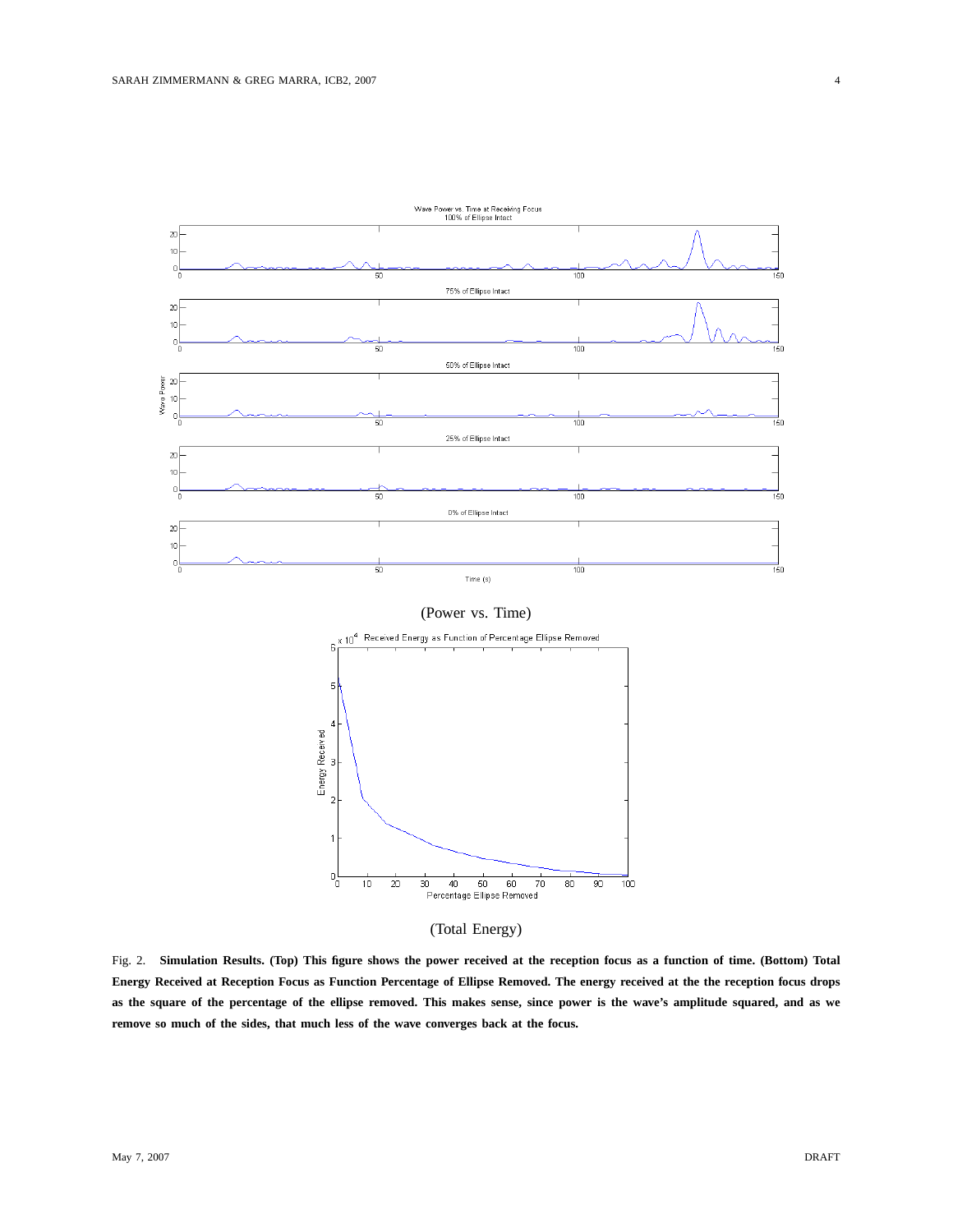

(Total Energy)

Fig. 2. **Simulation Results. (Top) This figure shows the power received at the reception focus as a function of time. (Bottom) Total Energy Received at Reception Focus as Function Percentage of Ellipse Removed. The energy received at the the reception focus drops as the square of the percentage of the ellipse removed. This makes sense, since power is the wave's amplitude squared, and as we remove so much of the sides, that much less of the wave converges back at the focus.**